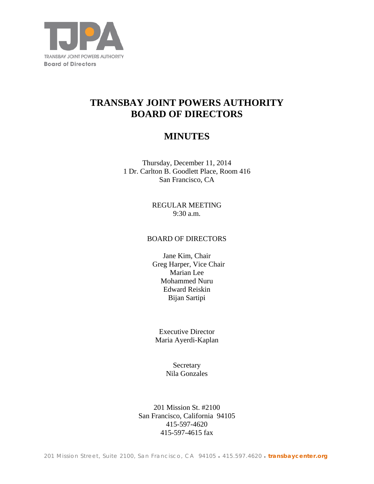

# **TRANSBAY JOINT POWERS AUTHORITY BOARD OF DIRECTORS**

## **MINUTES**

Thursday, December 11, 2014 1 Dr. Carlton B. Goodlett Place, Room 416 San Francisco, CA

> REGULAR MEETING 9:30 a.m.

## BOARD OF DIRECTORS

Jane Kim, Chair Greg Harper, Vice Chair Marian Lee Mohammed Nuru Edward Reiskin Bijan Sartipi

Executive Director Maria Ayerdi-Kaplan

> **Secretary** Nila Gonzales

201 Mission St. #2100 San Francisco, California 94105 415-597-4620 415-597-4615 fax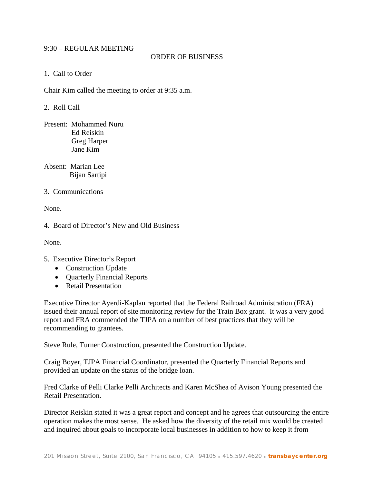## 9:30 – REGULAR MEETING

## ORDER OF BUSINESS

1. Call to Order

Chair Kim called the meeting to order at 9:35 a.m.

2. Roll Call

Present: Mohammed Nuru Ed Reiskin Greg Harper Jane Kim

Absent: Marian Lee Bijan Sartipi

3. Communications

None.

4. Board of Director's New and Old Business

None.

5. Executive Director's Report

- Construction Update
- **Quarterly Financial Reports**
- Retail Presentation

Executive Director Ayerdi-Kaplan reported that the Federal Railroad Administration (FRA) issued their annual report of site monitoring review for the Train Box grant. It was a very good report and FRA commended the TJPA on a number of best practices that they will be recommending to grantees.

Steve Rule, Turner Construction, presented the Construction Update.

Craig Boyer, TJPA Financial Coordinator, presented the Quarterly Financial Reports and provided an update on the status of the bridge loan.

Fred Clarke of Pelli Clarke Pelli Architects and Karen McShea of Avison Young presented the Retail Presentation.

Director Reiskin stated it was a great report and concept and he agrees that outsourcing the entire operation makes the most sense. He asked how the diversity of the retail mix would be created and inquired about goals to incorporate local businesses in addition to how to keep it from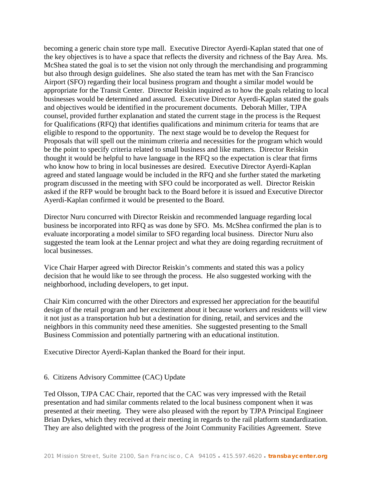becoming a generic chain store type mall. Executive Director Ayerdi-Kaplan stated that one of the key objectives is to have a space that reflects the diversity and richness of the Bay Area. Ms. McShea stated the goal is to set the vision not only through the merchandising and programming but also through design guidelines. She also stated the team has met with the San Francisco Airport (SFO) regarding their local business program and thought a similar model would be appropriate for the Transit Center. Director Reiskin inquired as to how the goals relating to local businesses would be determined and assured. Executive Director Ayerdi-Kaplan stated the goals and objectives would be identified in the procurement documents. Deborah Miller, TJPA counsel, provided further explanation and stated the current stage in the process is the Request for Qualifications (RFQ) that identifies qualifications and minimum criteria for teams that are eligible to respond to the opportunity. The next stage would be to develop the Request for Proposals that will spell out the minimum criteria and necessities for the program which would be the point to specify criteria related to small business and like matters. Director Reiskin thought it would be helpful to have language in the RFQ so the expectation is clear that firms who know how to bring in local businesses are desired. Executive Director Ayerdi-Kaplan agreed and stated language would be included in the RFQ and she further stated the marketing program discussed in the meeting with SFO could be incorporated as well. Director Reiskin asked if the RFP would be brought back to the Board before it is issued and Executive Director Ayerdi-Kaplan confirmed it would be presented to the Board.

Director Nuru concurred with Director Reiskin and recommended language regarding local business be incorporated into RFQ as was done by SFO. Ms. McShea confirmed the plan is to evaluate incorporating a model similar to SFO regarding local business. Director Nuru also suggested the team look at the Lennar project and what they are doing regarding recruitment of local businesses.

Vice Chair Harper agreed with Director Reiskin's comments and stated this was a policy decision that he would like to see through the process. He also suggested working with the neighborhood, including developers, to get input.

Chair Kim concurred with the other Directors and expressed her appreciation for the beautiful design of the retail program and her excitement about it because workers and residents will view it not just as a transportation hub but a destination for dining, retail, and services and the neighbors in this community need these amenities. She suggested presenting to the Small Business Commission and potentially partnering with an educational institution.

Executive Director Ayerdi-Kaplan thanked the Board for their input.

#### 6. Citizens Advisory Committee (CAC) Update

Ted Olsson, TJPA CAC Chair, reported that the CAC was very impressed with the Retail presentation and had similar comments related to the local business component when it was presented at their meeting. They were also pleased with the report by TJPA Principal Engineer Brian Dykes, which they received at their meeting in regards to the rail platform standardization. They are also delighted with the progress of the Joint Community Facilities Agreement. Steve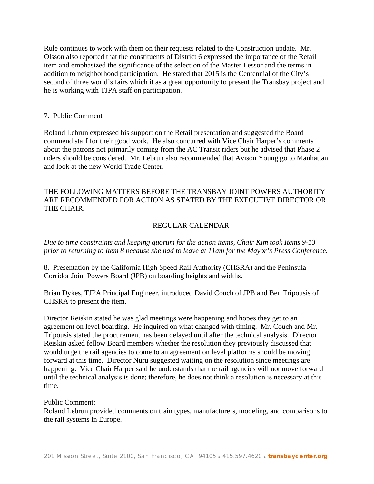Rule continues to work with them on their requests related to the Construction update. Mr. Olsson also reported that the constituents of District 6 expressed the importance of the Retail item and emphasized the significance of the selection of the Master Lessor and the terms in addition to neighborhood participation. He stated that 2015 is the Centennial of the City's second of three world's fairs which it as a great opportunity to present the Transbay project and he is working with TJPA staff on participation.

#### 7. Public Comment

Roland Lebrun expressed his support on the Retail presentation and suggested the Board commend staff for their good work. He also concurred with Vice Chair Harper's comments about the patrons not primarily coming from the AC Transit riders but he advised that Phase 2 riders should be considered. Mr. Lebrun also recommended that Avison Young go to Manhattan and look at the new World Trade Center.

## THE FOLLOWING MATTERS BEFORE THE TRANSBAY JOINT POWERS AUTHORITY ARE RECOMMENDED FOR ACTION AS STATED BY THE EXECUTIVE DIRECTOR OR THE CHAIR.

### REGULAR CALENDAR

*Due to time constraints and keeping quorum for the action items, Chair Kim took Items 9-13 prior to returning to Item 8 because she had to leave at 11am for the Mayor's Press Conference.*

8. Presentation by the California High Speed Rail Authority (CHSRA) and the Peninsula Corridor Joint Powers Board (JPB) on boarding heights and widths.

Brian Dykes, TJPA Principal Engineer, introduced David Couch of JPB and Ben Tripousis of CHSRA to present the item.

Director Reiskin stated he was glad meetings were happening and hopes they get to an agreement on level boarding. He inquired on what changed with timing. Mr. Couch and Mr. Tripousis stated the procurement has been delayed until after the technical analysis. Director Reiskin asked fellow Board members whether the resolution they previously discussed that would urge the rail agencies to come to an agreement on level platforms should be moving forward at this time. Director Nuru suggested waiting on the resolution since meetings are happening. Vice Chair Harper said he understands that the rail agencies will not move forward until the technical analysis is done; therefore, he does not think a resolution is necessary at this time.

#### Public Comment:

Roland Lebrun provided comments on train types, manufacturers, modeling, and comparisons to the rail systems in Europe.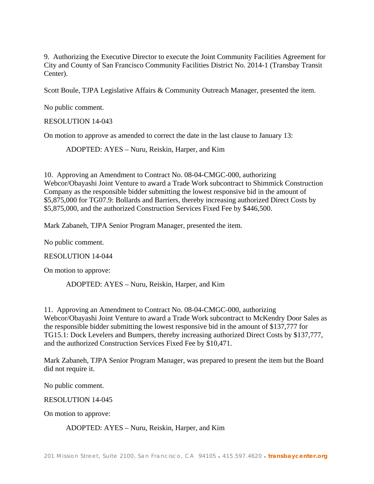9. Authorizing the Executive Director to execute the Joint Community Facilities Agreement for City and County of San Francisco Community Facilities District No. 2014-1 (Transbay Transit Center).

Scott Boule, TJPA Legislative Affairs & Community Outreach Manager, presented the item.

No public comment.

RESOLUTION 14-043

On motion to approve as amended to correct the date in the last clause to January 13:

ADOPTED: AYES – Nuru, Reiskin, Harper, and Kim

10. Approving an Amendment to Contract No. 08-04-CMGC-000, authorizing Webcor/Obayashi Joint Venture to award a Trade Work subcontract to Shimmick Construction Company as the responsible bidder submitting the lowest responsive bid in the amount of \$5,875,000 for TG07.9: Bollards and Barriers, thereby increasing authorized Direct Costs by \$5,875,000, and the authorized Construction Services Fixed Fee by \$446,500.

Mark Zabaneh, TJPA Senior Program Manager, presented the item.

No public comment.

RESOLUTION 14-044

On motion to approve:

ADOPTED: AYES – Nuru, Reiskin, Harper, and Kim

11. Approving an Amendment to Contract No. 08-04-CMGC-000, authorizing Webcor/Obayashi Joint Venture to award a Trade Work subcontract to McKendry Door Sales as the responsible bidder submitting the lowest responsive bid in the amount of \$137,777 for TG15.1: Dock Levelers and Bumpers, thereby increasing authorized Direct Costs by \$137,777, and the authorized Construction Services Fixed Fee by \$10,471.

Mark Zabaneh, TJPA Senior Program Manager, was prepared to present the item but the Board did not require it.

No public comment.

RESOLUTION 14-045

On motion to approve:

ADOPTED: AYES – Nuru, Reiskin, Harper, and Kim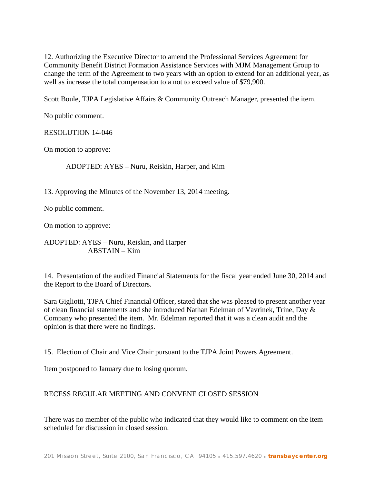12. Authorizing the Executive Director to amend the Professional Services Agreement for Community Benefit District Formation Assistance Services with MJM Management Group to change the term of the Agreement to two years with an option to extend for an additional year, as well as increase the total compensation to a not to exceed value of \$79,900.

Scott Boule, TJPA Legislative Affairs & Community Outreach Manager, presented the item.

No public comment.

RESOLUTION 14-046

On motion to approve:

ADOPTED: AYES – Nuru, Reiskin, Harper, and Kim

13. Approving the Minutes of the November 13, 2014 meeting.

No public comment.

On motion to approve:

ADOPTED: AYES – Nuru, Reiskin, and Harper ABSTAIN – Kim

14. Presentation of the audited Financial Statements for the fiscal year ended June 30, 2014 and the Report to the Board of Directors.

Sara Gigliotti, TJPA Chief Financial Officer, stated that she was pleased to present another year of clean financial statements and she introduced Nathan Edelman of Vavrinek, Trine, Day & Company who presented the item. Mr. Edelman reported that it was a clean audit and the opinion is that there were no findings.

15. Election of Chair and Vice Chair pursuant to the TJPA Joint Powers Agreement.

Item postponed to January due to losing quorum.

### RECESS REGULAR MEETING AND CONVENE CLOSED SESSION

There was no member of the public who indicated that they would like to comment on the item scheduled for discussion in closed session.